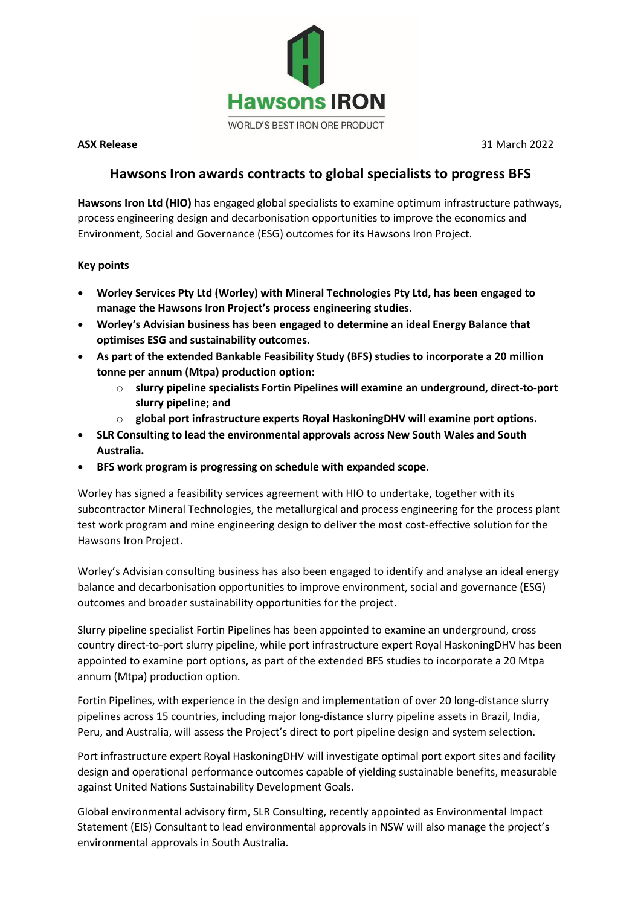

**ASX Release** 31 March 2022

# **Hawsons Iron awards contracts to global specialists to progress BFS**

**Hawsons Iron Ltd (HIO)** has engaged global specialists to examine optimum infrastructure pathways, process engineering design and decarbonisation opportunities to improve the economics and Environment, Social and Governance (ESG) outcomes for its Hawsons Iron Project.

## **Key points**

- **Worley Services Pty Ltd (Worley) with Mineral Technologies Pty Ltd, has been engaged to manage the Hawsons Iron Project's process engineering studies.**
- **Worley's Advisian business has been engaged to determine an ideal Energy Balance that optimises ESG and sustainability outcomes.**
- **As part of the extended Bankable Feasibility Study (BFS) studies to incorporate a 20 million tonne per annum (Mtpa) production option:**
	- o **slurry pipeline specialists Fortin Pipelines will examine an underground, direct-to-port slurry pipeline; and**
	- o **global port infrastructure experts Royal HaskoningDHV will examine port options.**
- **SLR Consulting to lead the environmental approvals across New South Wales and South Australia.**
- **BFS work program is progressing on schedule with expanded scope.**

Worley has signed a feasibility services agreement with HIO to undertake, together with its subcontractor Mineral Technologies, the metallurgical and process engineering for the process plant test work program and mine engineering design to deliver the most cost-effective solution for the Hawsons Iron Project.

Worley's Advisian consulting business has also been engaged to identify and analyse an ideal energy balance and decarbonisation opportunities to improve environment, social and governance (ESG) outcomes and broader sustainability opportunities for the project.

Slurry pipeline specialist Fortin Pipelines has been appointed to examine an underground, cross country direct-to-port slurry pipeline, while port infrastructure expert Royal HaskoningDHV has been appointed to examine port options, as part of the extended BFS studies to incorporate a 20 Mtpa annum (Mtpa) production option.

Fortin Pipelines, with experience in the design and implementation of over 20 long-distance slurry pipelines across 15 countries, including major long-distance slurry pipeline assets in Brazil, India, Peru, and Australia, will assess the Project's direct to port pipeline design and system selection.

Port infrastructure expert Royal HaskoningDHV will investigate optimal port export sites and facility design and operational performance outcomes capable of yielding sustainable benefits, measurable against United Nations Sustainability Development Goals.

Global environmental advisory firm, SLR Consulting, recently appointed as Environmental Impact Statement (EIS) Consultant to lead environmental approvals in NSW will also manage the project's environmental approvals in South Australia.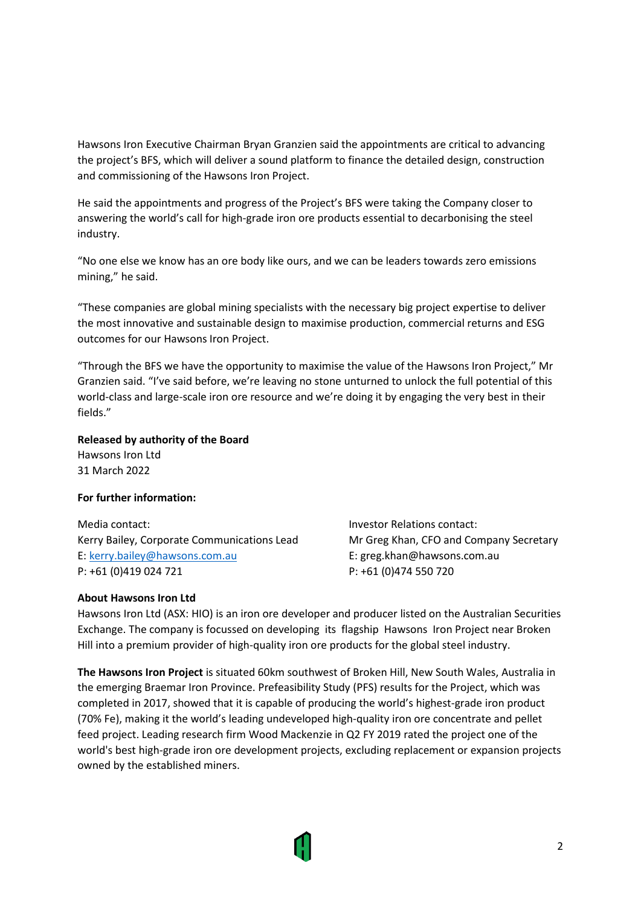Hawsons Iron Executive Chairman Bryan Granzien said the appointments are critical to advancing the project's BFS, which will deliver a sound platform to finance the detailed design, construction and commissioning of the Hawsons Iron Project.

He said the appointments and progress of the Project's BFS were taking the Company closer to answering the world's call for high-grade iron ore products essential to decarbonising the steel industry.

"No one else we know has an ore body like ours, and we can be leaders towards zero emissions mining," he said.

"These companies are global mining specialists with the necessary big project expertise to deliver the most innovative and sustainable design to maximise production, commercial returns and ESG outcomes for our Hawsons Iron Project.

"Through the BFS we have the opportunity to maximise the value of the Hawsons Iron Project," Mr Granzien said. "I've said before, we're leaving no stone unturned to unlock the full potential of this world-class and large-scale iron ore resource and we're doing it by engaging the very best in their fields."

#### **Released by authority of the Board**

Hawsons Iron Ltd 31 March 2022

### **For further information:**

Media contact: Investor Relations contact: Kerry Bailey, Corporate Communications Lead Mr Greg Khan, CFO and Company Secretary E: [kerry.bailey@hawsons.com.au](mailto:kerry.bailey@hawsons.com.au) E: greg.khan@hawsons.com.au P: +61 (0)419 024 721 P: +61 (0)474 550 720

### **About Hawsons Iron Ltd**

Hawsons Iron Ltd (ASX: HIO) is an iron ore developer and producer listed on the Australian Securities Exchange. The company is focussed on developing its flagship Hawsons Iron Project near Broken Hill into a premium provider of high-quality iron ore products for the global steel industry.

**The Hawsons Iron Project** is situated 60km southwest of Broken Hill, New South Wales, Australia in the emerging Braemar Iron Province. Prefeasibility Study (PFS) results for the Project, which was completed in 2017, showed that it is capable of producing the world's highest-grade iron product (70% Fe), making it the world's leading undeveloped high-quality iron ore concentrate and pellet feed project. Leading research firm Wood Mackenzie in Q2 FY 2019 rated the project one of the world's best high-grade iron ore development projects, excluding replacement or expansion projects owned by the established miners.